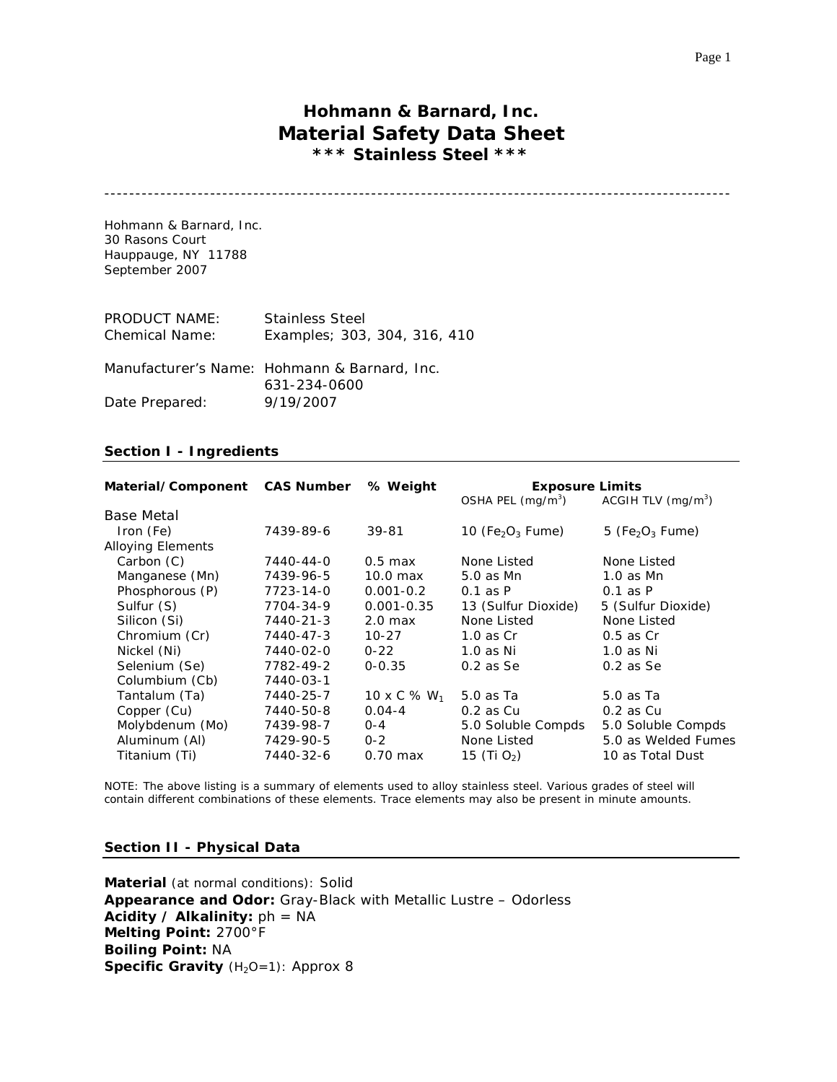# **Hohmann & Barnard, Inc. Material Safety Data Sheet \*\*\* Stainless Steel \*\*\***

-----------------------------------------------------------------------------------------------------

Hohmann & Barnard, Inc. 30 Rasons Court Hauppauge, NY 11788 September 2007

| <b>PRODUCT NAME:</b><br><b>Chemical Name:</b> | <b>Stainless Steel</b><br>Examples; 303, 304, 316, 410       |
|-----------------------------------------------|--------------------------------------------------------------|
|                                               | Manufacturer's Name: Hohmann & Barnard, Inc.<br>631-234-0600 |
| Date Prepared:                                | 9/19/2007                                                    |

# **Section I - Ingredients**

| Material/Component CAS Number % Weight |           |                    | <b>Exposure Limits</b><br>OSHA PEL $(mq/m3)$<br>ACGIH TLV $(mg/m3)$ |                                         |
|----------------------------------------|-----------|--------------------|---------------------------------------------------------------------|-----------------------------------------|
| Base Metal                             |           |                    |                                                                     |                                         |
| Iron (Fe)                              | 7439-89-6 | 39-81              | 10 (Fe <sub>2</sub> O <sub>3</sub> Fume)                            | 5 (Fe <sub>2</sub> O <sub>3</sub> Fume) |
| <b>Alloying Elements</b>               |           |                    |                                                                     |                                         |
| Carbon (C)                             | 7440-44-0 | $0.5$ max          | None Listed                                                         | None Listed                             |
| Manganese (Mn)                         | 7439-96-5 | 10.0 max           | 5.0 as Mn                                                           | $1.0$ as Mn                             |
| Phosphorous (P)                        | 7723-14-0 | $0.001 - 0.2$      | $0.1$ as $P$                                                        | $0.1$ as $P$                            |
| Sulfur (S)                             | 7704-34-9 | $0.001 - 0.35$     | 13 (Sulfur Dioxide)                                                 | 5 (Sulfur Dioxide)                      |
| Silicon (Si)                           | 7440-21-3 | 2.0 <sub>max</sub> | None Listed                                                         | None Listed                             |
| Chromium (Cr)                          | 7440-47-3 | $10 - 27$          | $1.0$ as Cr                                                         | $0.5$ as $Cr$                           |
| Nickel (Ni)                            | 7440-02-0 | $0 - 22$           | $1.0$ as Ni                                                         | $1.0$ as Ni                             |
| Selenium (Se)                          | 7782-49-2 | $0 - 0.35$         | $0.2$ as Se                                                         | $0.2$ as Se                             |
| Columbium (Cb)                         | 7440-03-1 |                    |                                                                     |                                         |
| Tantalum (Ta)                          | 7440-25-7 | 10 x C % $W_1$     | 5.0 as Ta                                                           | 5.0 as Ta                               |
| Copper (Cu)                            | 7440-50-8 | $0.04 - 4$         | $0.2$ as $Cu$                                                       | $0.2$ as $Cu$                           |
| Molybdenum (Mo)                        | 7439-98-7 | $O - 4$            | 5.0 Soluble Compds                                                  | 5.0 Soluble Compds                      |
| Aluminum (Al)                          | 7429-90-5 | $0 - 2$            | None Listed                                                         | 5.0 as Welded Fumes                     |
| Titanium (Ti)                          | 7440-32-6 | $0.70$ max         | 15 (Ti $O_2$ )                                                      | 10 as Total Dust                        |

NOTE: The above listing is a summary of elements used to alloy stainless steel. Various grades of steel will contain different combinations of these elements. Trace elements may also be present in minute amounts.

#### **Section II - Physical Data**

**Material** (at normal conditions): Solid **Appearance and Odor:** Gray-Black with Metallic Lustre – Odorless **Acidity / Alkalinity:** ph = NA **Melting Point:** 2700°F **Boiling Point:** NA **Specific Gravity** (H<sub>2</sub>O=1): Approx 8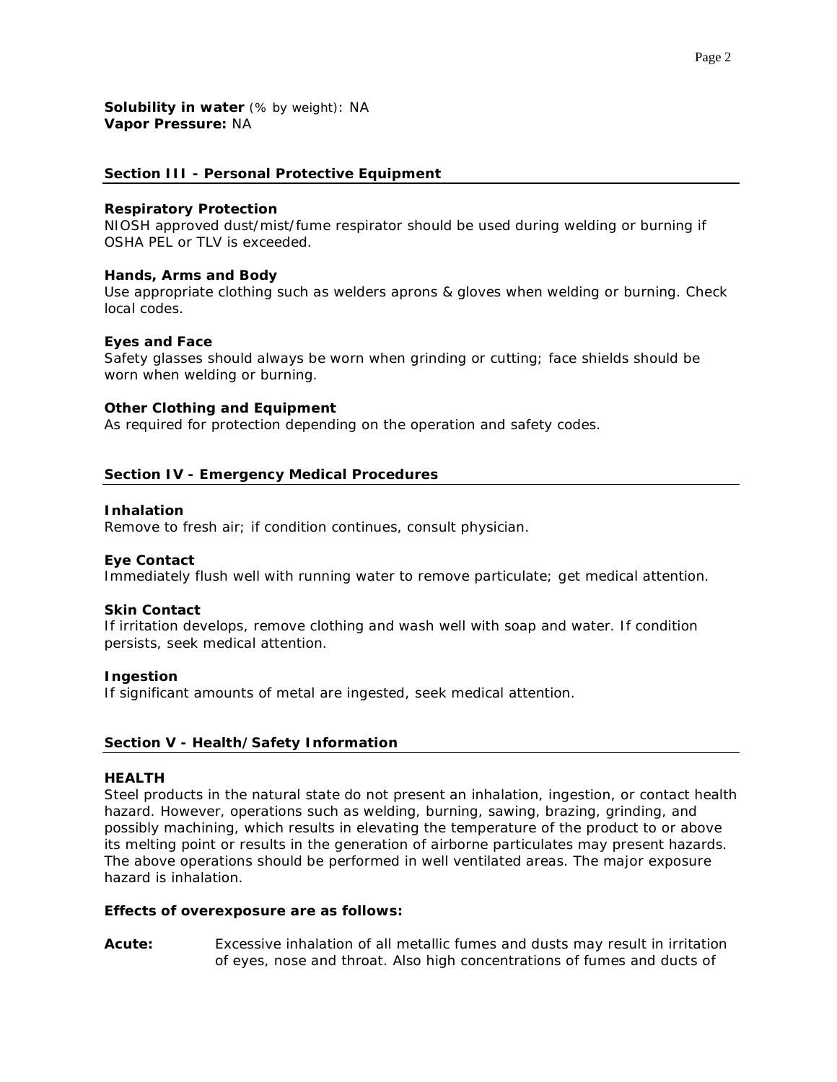### **Section III - Personal Protective Equipment**

### *Respiratory Protection*

NIOSH approved dust/mist/fume respirator should be used during welding or burning if OSHA PEL or TLV is exceeded.

### *Hands, Arms and Body*

Use appropriate clothing such as welders aprons & gloves when welding or burning. Check local codes.

### *Eyes and Face*

Safety glasses should always be worn when grinding or cutting; face shields should be worn when welding or burning.

### *Other Clothing and Equipment*

As required for protection depending on the operation and safety codes.

# **Section IV - Emergency Medical Procedures**

### *Inhalation*

Remove to fresh air; if condition continues, consult physician.

### *Eye Contact*

Immediately flush well with running water to remove particulate; get medical attention.

### *Skin Contact*

If irritation develops, remove clothing and wash well with soap and water. If condition persists, seek medical attention.

### *Ingestion*

If significant amounts of metal are ingested, seek medical attention.

# **Section V - Health/Safety Information**

### **HEALTH**

Steel products in the natural state do not present an inhalation, ingestion, or contact health hazard. However, operations such as welding, burning, sawing, brazing, grinding, and possibly machining, which results in elevating the temperature of the product to or above its melting point or results in the generation of airborne particulates may present hazards. The above operations should be performed in well ventilated areas. The major exposure hazard is inhalation.

### *Effects of overexposure are as follows:*

**Acute:** Excessive inhalation of all metallic fumes and dusts may result in irritation of eyes, nose and throat. Also high concentrations of fumes and ducts of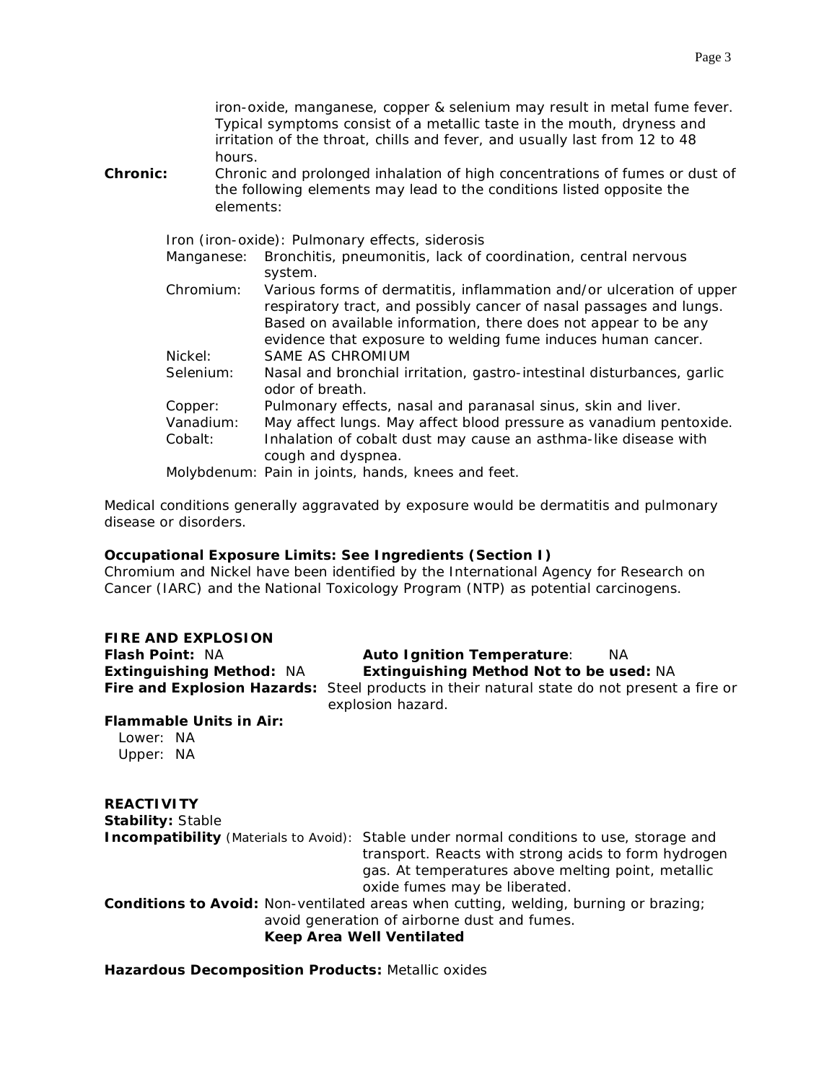iron-oxide, manganese, copper & selenium may result in metal fume fever. Typical symptoms consist of a metallic taste in the mouth, dryness and irritation of the throat, chills and fever, and usually last from 12 to 48 hours.

**Chronic:** Chronic and prolonged inhalation of high concentrations of fumes or dust of the following elements may lead to the conditions listed opposite the elements:

*Iron (iron-oxide)*: Pulmonary effects, siderosis

| <i>Manganese</i> : Bronchitis, pneumonitis, lack of coordination, central nervous |  |
|-----------------------------------------------------------------------------------|--|
| system.                                                                           |  |

*Chromium:* Various forms of dermatitis, inflammation and/or ulceration of upper respiratory tract, and possibly cancer of nasal passages and lungs. Based on available information, there does not appear to be any evidence that exposure to welding fume induces human cancer. *Nickel*: SAME AS CHROMIUM *Selenium*: Nasal and bronchial irritation, gastro-intestinal disturbances, garlic odor of breath. *Copper:* Pulmonary effects, nasal and paranasal sinus, skin and liver. *Vanadium:* May affect lungs. May affect blood pressure as vanadium pentoxide.

*Cobalt*: Inhalation of cobalt dust may cause an asthma-like disease with cough and dyspnea.

*Molybdenum*: Pain in joints, hands, knees and feet.

Medical conditions generally aggravated by exposure would be dermatitis and pulmonary disease or disorders.

# *Occupational Exposure Limits: See Ingredients (Section I)*

Chromium and Nickel have been identified by the International Agency for Research on Cancer (IARC) and the National Toxicology Program (NTP) as potential carcinogens.

# **FIRE AND EXPLOSION**

### *Flash Point:* NA *Auto Ignition Temperature:* NA *Extinguishing Method:* NA *Extinguishing Method Not to be used:* NA

*Fire and Explosion Hazards:* Steel products in their natural state do not present a fire or explosion hazard.

# *Flammable Units in Air:*

 Lower: NA Upper: NA

# **REACTIVITY**

*Stability:* Stable

**Incompatibility** (Materials to Avoid): Stable under normal conditions to use, storage and transport. Reacts with strong acids to form hydrogen gas. At temperatures above melting point, metallic oxide fumes may be liberated.

*Conditions to Avoid:* Non-ventilated areas when cutting, welding, burning or brazing; avoid generation of airborne dust and fumes.

**Keep Area Well Ventilated** 

# *Hazardous Decomposition Products***:** Metallic oxides